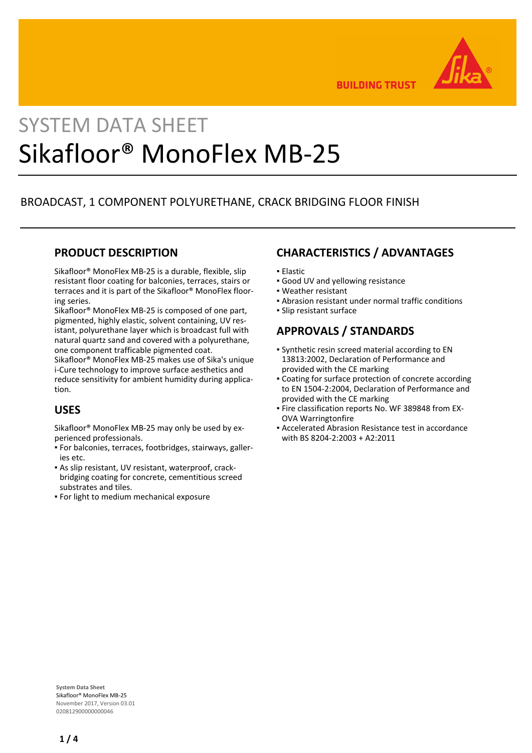

**BUILDING TRUST** 

# SYSTEM DATA SHEET Sikafloor® MonoFlex MB-25

# BROADCAST, 1 COMPONENT POLYURETHANE, CRACK BRIDGING FLOOR FINISH

## **PRODUCT DESCRIPTION**

Sikafloor® MonoFlex MB-25 is a durable, flexible, slip resistant floor coating for balconies, terraces, stairs or terraces and it is part of the Sikafloor® MonoFlex flooring series.

Sikafloor® MonoFlex MB-25 is composed of one part, pigmented, highly elastic, solvent containing, UV resistant, polyurethane layer which is broadcast full with natural quartz sand and covered with a polyurethane, one component trafficable pigmented coat.

Sikafloor® MonoFlex MB-25 makes use of Sika's unique i-Cure technology to improve surface aesthetics and reduce sensitivity for ambient humidity during application.

# **USES**

Sikafloor® MonoFlex MB-25 may only be used by experienced professionals.

- For balconies, terraces, footbridges, stairways, galler-▪ ies etc.
- As slip resistant, UV resistant, waterproof, crack-▪ bridging coating for concrete, cementitious screed substrates and tiles.
- **For light to medium mechanical exposure**

# **CHARACTERISTICS / ADVANTAGES**

- Elastic
- **.** Good UV and yellowing resistance
- Weather resistant
- **.** Abrasion resistant under normal traffic conditions
- Slip resistant surface

## **APPROVALS / STANDARDS**

- Synthetic resin screed material according to EN 13813:2002, Declaration of Performance and provided with the CE marking
- Coating for surface protection of concrete according to EN 1504-2:2004, Declaration of Performance and provided with the CE marking
- **Fire classification reports No. WF 389848 from EX-**OVA Warringtonfire
- Accelerated Abrasion Resistance test in accordance with BS 8204-2:2003 + A2:2011

**System Data Sheet** Sikafloor® MonoFlex MB-25 November 2017, Version 03.01 020812900000000046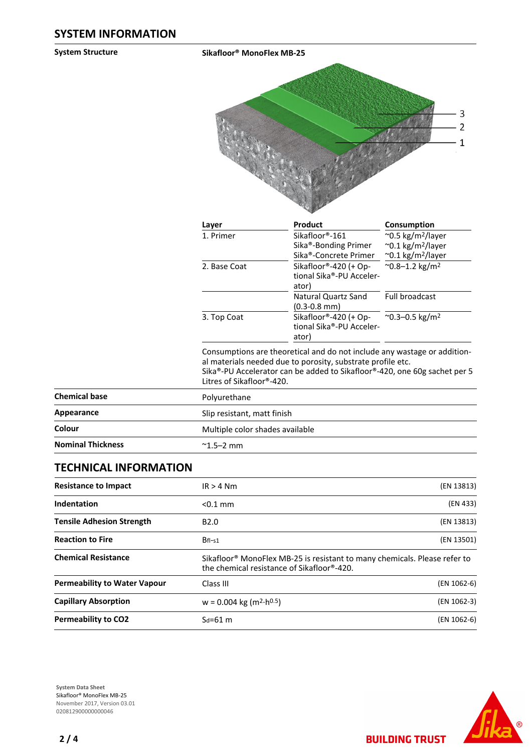**System Structure Sikafloor® MonoFlex MB-25**



| Layer        | Product                                                    | Consumption                         |
|--------------|------------------------------------------------------------|-------------------------------------|
| 1. Primer    | Sikafloor®-161                                             | $\sim$ 0.5 kg/m <sup>2</sup> /layer |
|              | Sika <sup>®</sup> -Bonding Primer                          | $\sim$ 0.1 kg/m <sup>2</sup> /layer |
|              | Sika®-Concrete Primer                                      | $\sim$ 0.1 kg/m <sup>2</sup> /layer |
| 2. Base Coat | Sikafloor®-420 (+ Op-<br>tional Sika®-PU Acceler-<br>ator) | $^{\sim}$ 0.8-1.2 kg/m <sup>2</sup> |
|              | Natural Quartz Sand<br>$(0.3 - 0.8$ mm $)$                 | Full broadcast                      |
| 3. Top Coat  | Sikafloor®-420 (+ Op-<br>tional Sika®-PU Acceler-<br>ator) | ~0.3-0.5 kg/m <sup>2</sup>          |

Consumptions are theoretical and do not include any wastage or additional materials needed due to porosity, substrate profile etc. Sika®-PU Accelerator can be added to Sikafloor®-420, one 60g sachet per 5 Litres of Sikafloor®-420.

| <b>Chemical base</b>     | Polyurethane                    |  |
|--------------------------|---------------------------------|--|
| Appearance               | Slip resistant, matt finish     |  |
| Colour                   | Multiple color shades available |  |
| <b>Nominal Thickness</b> | $^{\sim}$ 1.5–2 mm              |  |

## **TECHNICAL INFORMATION**

| <b>Resistance to Impact</b>         | $IR > 4$ Nm                                                                                                                         | (EN 13813)  |
|-------------------------------------|-------------------------------------------------------------------------------------------------------------------------------------|-------------|
| Indentation                         | $< 0.1$ mm                                                                                                                          | (EN 433)    |
| <b>Tensile Adhesion Strength</b>    | B <sub>2.0</sub>                                                                                                                    | (EN 13813)  |
| <b>Reaction to Fire</b>             | $Bf1-s1$                                                                                                                            | (EN 13501)  |
| <b>Chemical Resistance</b>          | Sikafloor <sup>®</sup> MonoFlex MB-25 is resistant to many chemicals. Please refer to<br>the chemical resistance of Sikafloor®-420. |             |
| <b>Permeability to Water Vapour</b> | Class III                                                                                                                           | (EN 1062-6) |
| <b>Capillary Absorption</b>         | $w = 0.004$ kg (m <sup>2</sup> ·h <sup>0.5</sup> )                                                                                  | (EN 1062-3) |
| <b>Permeability to CO2</b>          | $S_d = 61$ m                                                                                                                        | (EN 1062-6) |

**System Data Sheet** Sikafloor® MonoFlex MB-25 November 2017, Version 03.01 020812900000000046



**BUILDING TRUST**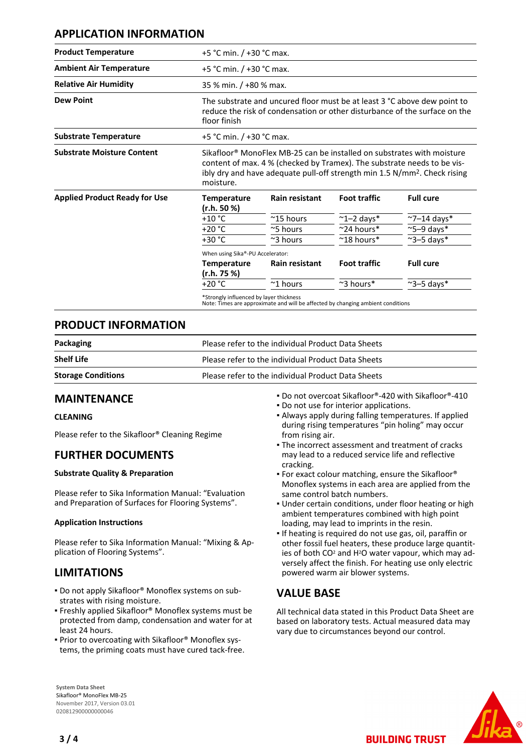## **APPLICATION INFORMATION**

| <b>Product Temperature</b>           | +5 °C min. / +30 °C max.                                                                                                                                                                                                                                |                          |                      |                     |
|--------------------------------------|---------------------------------------------------------------------------------------------------------------------------------------------------------------------------------------------------------------------------------------------------------|--------------------------|----------------------|---------------------|
| <b>Ambient Air Temperature</b>       | +5 °C min. / +30 °C max.                                                                                                                                                                                                                                |                          |                      |                     |
| <b>Relative Air Humidity</b>         | 35 % min. / +80 % max.                                                                                                                                                                                                                                  |                          |                      |                     |
| <b>Dew Point</b>                     | The substrate and uncured floor must be at least 3 °C above dew point to<br>reduce the risk of condensation or other disturbance of the surface on the<br>floor finish                                                                                  |                          |                      |                     |
| <b>Substrate Temperature</b>         |                                                                                                                                                                                                                                                         | +5 °C min. / +30 °C max. |                      |                     |
| <b>Substrate Moisture Content</b>    | Sikafloor® MonoFlex MB-25 can be installed on substrates with moisture<br>content of max. 4 % (checked by Tramex). The substrate needs to be vis-<br>ibly dry and have adequate pull-off strength min 1.5 N/mm <sup>2</sup> . Check rising<br>moisture. |                          |                      |                     |
|                                      |                                                                                                                                                                                                                                                         |                          |                      |                     |
|                                      | <b>Temperature</b>                                                                                                                                                                                                                                      | <b>Rain resistant</b>    | <b>Foot traffic</b>  | <b>Full cure</b>    |
|                                      | (r.h. 50 %)<br>$+10 °C$                                                                                                                                                                                                                                 | $~^{\sim}$ 15 hours      | $\sim$ 1-2 days*     | $\sim$ 7-14 days*   |
|                                      | $+20 °C$                                                                                                                                                                                                                                                | $\approx$ 5 hours        | $\sim$ 24 hours*     | $\approx$ 5-9 days* |
|                                      | $+30 °C$                                                                                                                                                                                                                                                | $\approx$ 3 hours        | $~^{\sim}$ 18 hours* | $\sim$ 3-5 days*    |
|                                      | When using Sika®-PU Accelerator:                                                                                                                                                                                                                        |                          |                      |                     |
| <b>Applied Product Ready for Use</b> | <b>Temperature</b><br>(r.h. 75 %)                                                                                                                                                                                                                       | <b>Rain resistant</b>    | <b>Foot traffic</b>  | <b>Full cure</b>    |

### **PRODUCT INFORMATION**

| Packaging                 | Please refer to the individual Product Data Sheets |  |
|---------------------------|----------------------------------------------------|--|
| <b>Shelf Life</b>         | Please refer to the individual Product Data Sheets |  |
| <b>Storage Conditions</b> | Please refer to the individual Product Data Sheets |  |

## **MAINTENANCE**

#### **CLEANING**

Please refer to the Sikafloor® Cleaning Regime

## **FURTHER DOCUMENTS**

#### **Substrate Quality & Preparation**

Please refer to Sika Information Manual: "Evaluation and Preparation of Surfaces for Flooring Systems".

#### **Application Instructions**

Please refer to Sika Information Manual: "Mixing & Application of Flooring Systems".

## **LIMITATIONS**

- Do not apply Sikafloor® Monoflex systems on sub-▪ strates with rising moisture.
- **Freshly applied Sikafloor® Monoflex systems must be** protected from damp, condensation and water for at least 24 hours.
- Prior to overcoating with Sikafloor® Monoflex sys-▪ tems, the priming coats must have cured tack-free.

**System Data Sheet** Sikafloor® MonoFlex MB-25 November 2017, Version 03.01 020812900000000046

- Do not overcoat Sikafloor®-420 with Sikafloor®-410
- Do not use for interior applications.
- Always apply during falling temperatures. If applied during rising temperatures "pin holing" may occur from rising air.
- The incorrect assessment and treatment of cracks may lead to a reduced service life and reflective cracking.
- **For exact colour matching, ensure the Sikafloor®** Monoflex systems in each area are applied from the same control batch numbers.
- **.** Under certain conditions, under floor heating or high ambient temperatures combined with high point loading, may lead to imprints in the resin.
- If heating is required do not use gas, oil, paraffin or other fossil fuel heaters, these produce large quantities of both CO<sup>2</sup> and H2O water vapour, which may adversely affect the finish. For heating use only electric powered warm air blower systems.

## **VALUE BASE**

All technical data stated in this Product Data Sheet are based on laboratory tests. Actual measured data may vary due to circumstances beyond our control.

**BUILDING TRUST**